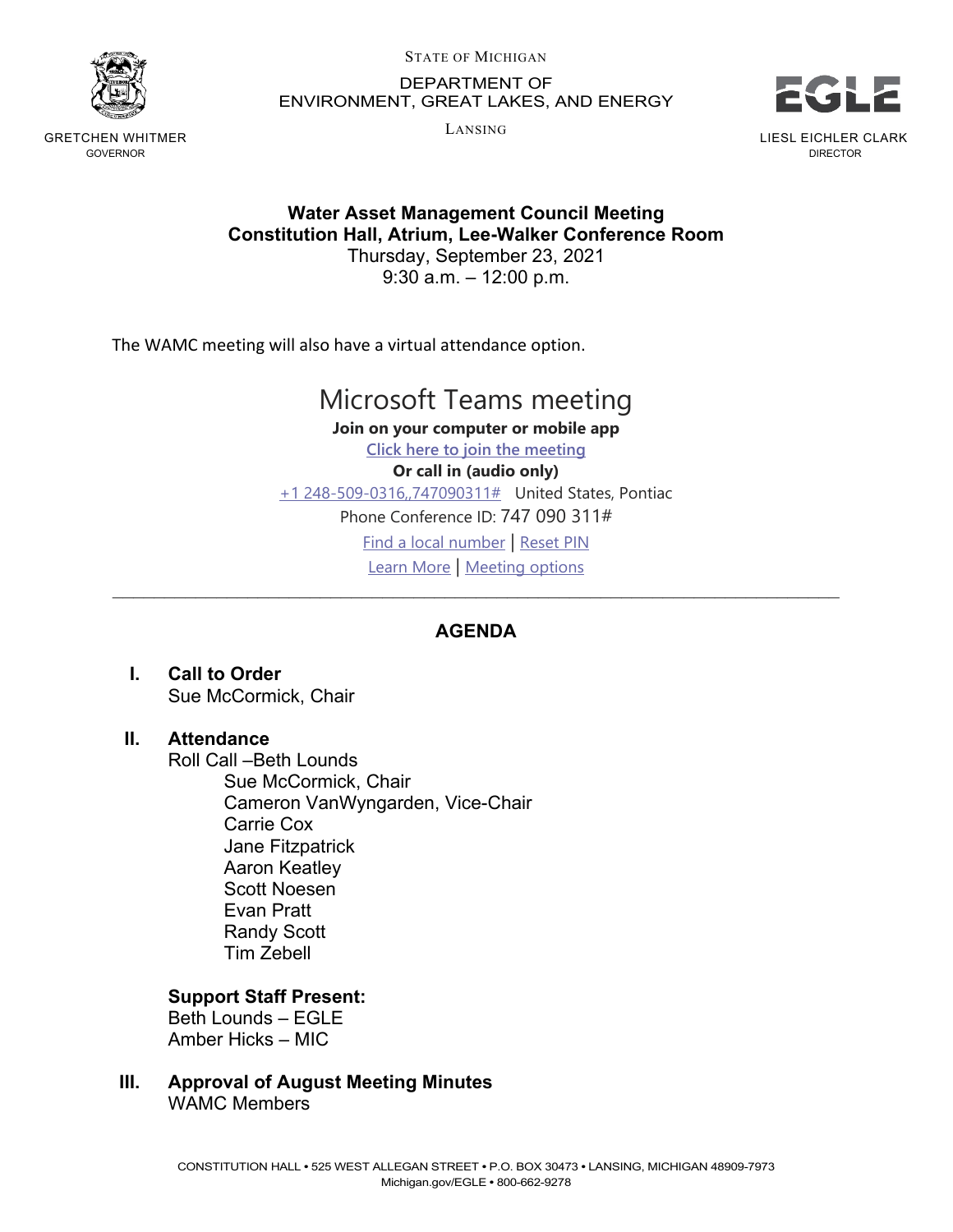

GRETCHEN WHITMER GOVERNOR

STATE OF MICHIGAN

DEPARTMENT OF ENVIRONMENT, GREAT LAKES, AND ENERGY

LANSING



**Water Asset Management Council Meeting Constitution Hall, Atrium, Lee-Walker Conference Room**

Thursday, September 23, 2021 9:30 a.m. – 12:00 p.m.

The WAMC meeting will also have a virtual attendance option.

# Microsoft Teams meeting

**Join on your computer or mobile app Click here to join the meeting Or call in (audio only)** +1 248-509-0316,,747090311# United States, Pontiac Phone Conference ID: 747 090 311# Find a local number | Reset PIN Learn More | Meeting options \_\_\_\_\_\_\_\_\_\_\_\_\_\_\_\_\_\_\_\_\_\_\_\_\_\_\_\_\_\_\_\_\_\_\_\_\_\_\_\_\_\_\_\_\_\_\_\_\_\_\_\_\_\_\_\_\_\_\_\_\_\_\_\_\_\_\_\_\_\_

# **AGENDA**

**I. Call to Order** Sue McCormick, Chair

# **II. Attendance**

Roll Call –Beth Lounds Sue McCormick, Chair Cameron VanWyngarden, Vice-Chair Carrie Cox Jane Fitzpatrick Aaron Keatley Scott Noesen Evan Pratt Randy Scott Tim Zebell

# **Support Staff Present:**

Beth Lounds – EGLE Amber Hicks – MIC

**III. Approval of August Meeting Minutes**

WAMC Members